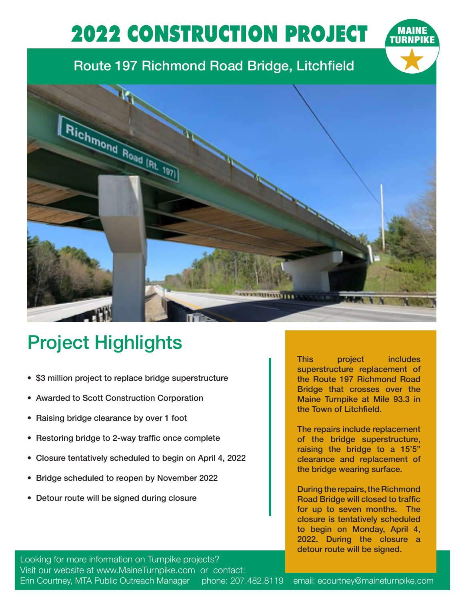## 2022 CONSTRUCTION PROJECT

## Route 197 Richmond Road Bridge, Litchfield



## Project Highlights

- \$3 million project to replace bridge superstructure
- Awarded to Scott Construction Corporation
- Raising bridge clearance by over 1 foot
- Restoring bridge to 2-way traffic once complete
- Closure tentatively scheduled to begin on April 4, 2022
- Bridge scheduled to reopen by November 2022
- Detour route will be signed during closure

This project includes superstructure replacement of the Route 197 Richmond Road Bridge that crosses over the Maine Turnpike at Mile 93.3 in the Town of Litchfield.

The repairs include replacement of the bridge superstructure, raising the bridge to a 15'5" clearance and replacement of the bridge wearing surface.

During the repairs, the Richmond Road Bridge will closed to traffic for up to seven months. The closure is tentatively scheduled to begin on Monday, April 4, 2022. During the closure a detour route will be signed.

Looking for more information on Turnpike projects? Visit our website at www.MaineTurnpike.com or contact: Erin Courtney, MTA Public Outreach Manager phone: 207.482.8119 email: ecourtney@maineturnpike.com